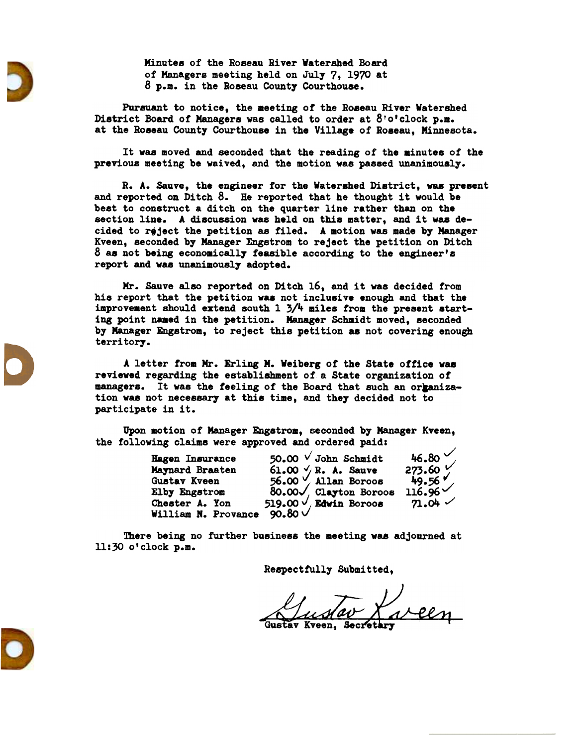Minutes of the Roseau River Watershed Board of Managers meeting held on July 7, 1970 at 8 p.m. in the Roseau County Courthouse.

Pursuant to notice, the meeting of the Roseau River Watershed District Board of Managers was called to order at 8'o'clock p.m. at the Roseau County Courthouse in the Village of Roseau, Minnesota.

It was moved and seconded that the reading of the minutes of the previous meeting be waived, and the motion was passed unanimously.

R. A. Sauve, the engineer for the Watershed District, was present and reported on Ditch  $8.$  He reported that he thought it would be best to construct a ditch on the quarter line rather than on the section line. A discussion vas held on this matter, and it vas decided to reject the petition as filed. A motion was made by Manager Kveen, seconded by Manager Engstrom to reject the petition on Ditch 8 as not being economically feasible according to the engineer's report and was unanimously adopted.

Mr. Sauve also reported on DitCh 16, and it was decided from his report that the petition was not inclusive enough and that the improvement should extend south 1 3/4 miles from the present starting point named in the petition. Manager Schmidt moved, seconded by Manager Engstrom, to reject this petition as not covering enough territory.

A letter from Mr. Erling M. Weiberg of the State office was reviewed regarding the establishment of a State organization of managers. It was the feeling of the Board that such an organization was not necessary at this time, and they decided not to participate in it.

upon motion of Manager Engstrom, seconded by Manager Kveen, the following claims were approved and ordered paid:

| Hagen Insurance     | 50.00 $\sqrt{\text{John Schmidt}}$         | $46.80$<br>$273.60$<br>$49.56$<br>$116.96$ |
|---------------------|--------------------------------------------|--------------------------------------------|
| Maynard Braaten     | 61.00 $\sqrt{}$ R. A. Sauve                |                                            |
| Gustav Kveen        | $56.00$ / Allan Boroos                     |                                            |
| Elby Engstrom       | 80.00 / Clayton Boroos                     |                                            |
| Chester A. Yon      | 519.00 $\sqrt{\phantom{0}24}$ Edwin Boroos | 71.04                                      |
| William N. Provance |                                            |                                            |

There being no further business the meeting was adjourned at 11:30 o'clock p.m.

Respectfully Submitted,

Gustav Kveen, Secretary

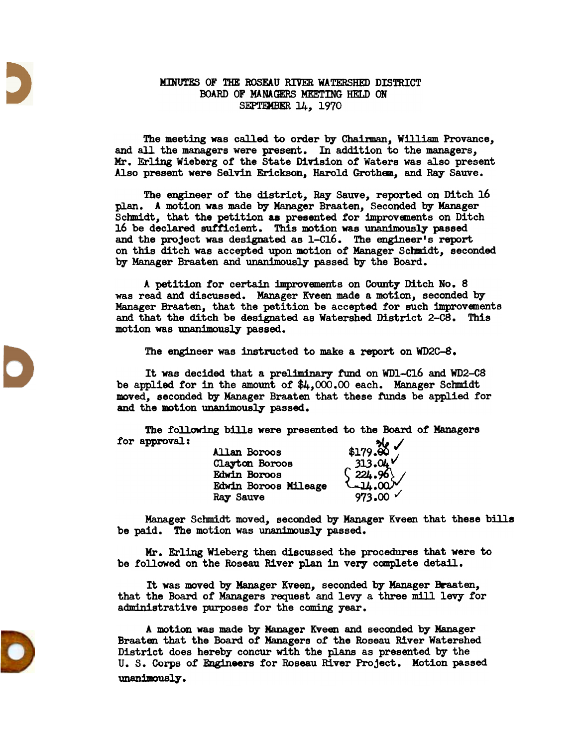## MINUTES OF THE ROSEAU RIVER WATERSHED DISTRICT BOARD OF MANAGERS MEETING HELD ON SEPTEMBER 14, 1970

The meeting was called to order by Chairman, William Provance, and all the managers were present. In addition to the managers, Mr. Erling Wieberg of the State Division of Waters was also present Also present were Selvin Erickson, Harold Grothem, and Ray Sauve.

The engineer of the district, Ray Sauve, reported on Ditch 16 plan. A motion was made by Manager Braaten, Seconded by Manager Schmidt, that the petition as presented for improvements on Ditch 16 be declared sufficient. This motion was unanimously passed and the project was designated as 1-C16. The engineer's report on this ditch was accepted upon motion of Manager Schmidt, seconded by Manager Braaten and unanimously passed by the Board.

A petition for certain improvements on County Ditch No. 8 was read and discussed. Manager Kveen made a motion, seconded by Manager Braaten, that the petition be accepted for such improvsnents and that the ditch be designated as Watershed District 2-C8. This motion was unanimously passed.

The engineer was instructed to make a report on WD2C-8.

It was decided that a preliminary fund on WD1-C16 and WD2-C8 be applied for in the amount of  $$4,000.00$  each. Manager Schmidt moved, seconded by Manager Braaten that these funds be applied for and the motion unanimously passed.

The following bills were presented to the Board of Managers<br>for approval:<br> $\frac{1}{2}$ 

| <b>Allan Boroos</b>  | \$179.80                                                     |
|----------------------|--------------------------------------------------------------|
| Clayton Boroos       | $\begin{array}{c} 313.04 \ \{224.96\} \\ -14.00 \end{array}$ |
| <b>Edwin Boroos</b>  |                                                              |
| Edwin Boroos Mileage |                                                              |
| Ray Sauve            | $973.00$ $\check{ }$                                         |

Manager Schmidt moved, seconded by Manager Kveen that these bills be paid. The motion was unanimously passed.

Hr. Erling Wieberg then discussed the procedures that were to be followed on the Roseau River plan in very complete detail.

It was moved by Manager Kveen, seconded by Manager Braaten, that the Board of Managers request and levy a three mill levy for administrative purposes for the coming year.

A motion was made by Manager Kveen and seconded by Manager Braaten that the Board of Managers of the Roseau River Watershed District does hereby concur with the plans as presented by the U. S. Corps of Engineers for Roseau River Project. Motion passed unanimously.

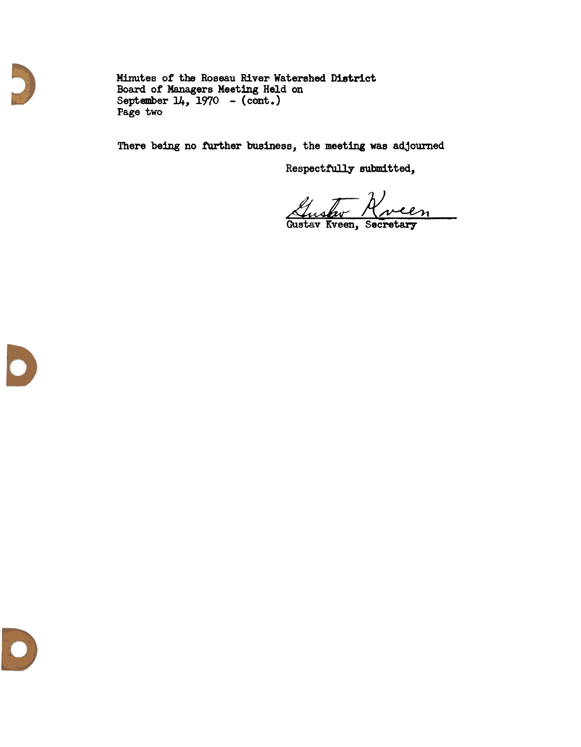Minutes of the Roseau River Watershed District Board of Managers Meeting Held on September 14, 1970 - (cont.) Page two

There being no further business, the meeting was adjourned

Respectfully submitted,

<u>Auster Kveen</u>



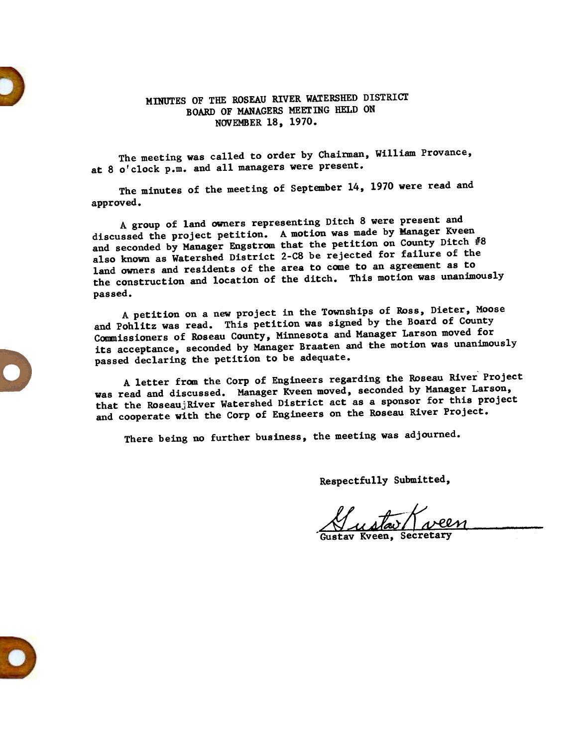

## MINUTES OF THE ROSEAU RIVER WATERSHED DISTRICI BOARD OF MANAGERS MEEtING HELD ON NOVEMBER 18, 1970.

The meeting was called to order by Chairman, William Provance, at 8 o'clock p.m. and all managers were present.

The minutes of the meeting of September 14,1970 were read and approved.

A group of land owners representing Ditch 8 were present and discussed the project petition. A motion was made by Manager Kveen and seconded by Manager Engstrom that the petition on County Ditch #8 also known as Watershed District 2-C8 be rejected for failure of the land owners and residents of the area to come to an agreement as to the construction and location of the ditch. This motion was unanimously passed.

A petition on a new project in the Townships of Ross, Dieter, MOose and Pohlitz was read. This petition was signed by the Board of County Commissioners of Roseau County, Minnesota and Manager Larson moved for its acceptance, seconded by Manager Braaten and the motion was unantmously passed declaring the petition to be adequate.

A letter from the Corp of Engineers regarding the Roseau River' Project was read and discussed. Manager Kveen moved, seconded by Manager Larson, that the RoseaujRiver Watershed District act as a sponsor for this project and cooperate with the Corp of Engineers on the Roseau River Project.

There being no further business, the meeting was adjourned.

Respectfully Submitted,

Gustav Kveen, Secretary

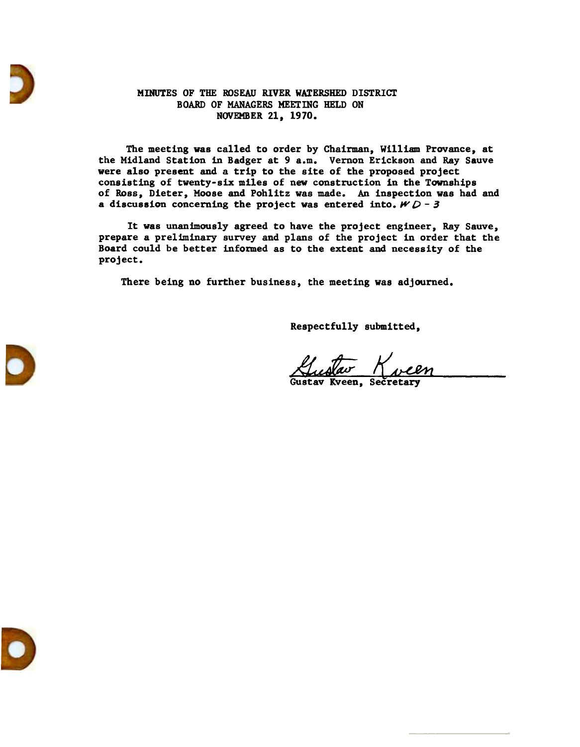

## MINUTES OF THE ROSEAU RIVER WATERSHED DISTRICT BOARD OF MANAGERS MEETING HELD ON NOVEMBER 21, 1970.

The meeting was called to order by Chairman, William Provance, at the Midland Station in Badger at 9 a.m. Vernon Erickson and Ray Sauve were also present and a trip to the site of the proposed project consisting of twenty-six miles of new construction in the Townships of Ross, Dieter, Moose and Pohlitz was made. An inspection was had and a discussion concerning the project was entered into.  $W D - 3$ 

It was unanimously agreed to have the project engineer, Ray Sauve, prepare a preliminary survey and plans of the project in order that the Board could be better informed as to the extent and necessity of the project.

There being no further business, the meeting was adjourned.

Respectfully submitted,

<u>Kuslav (wel</u>)<br>Gustav Kveen, Secretary